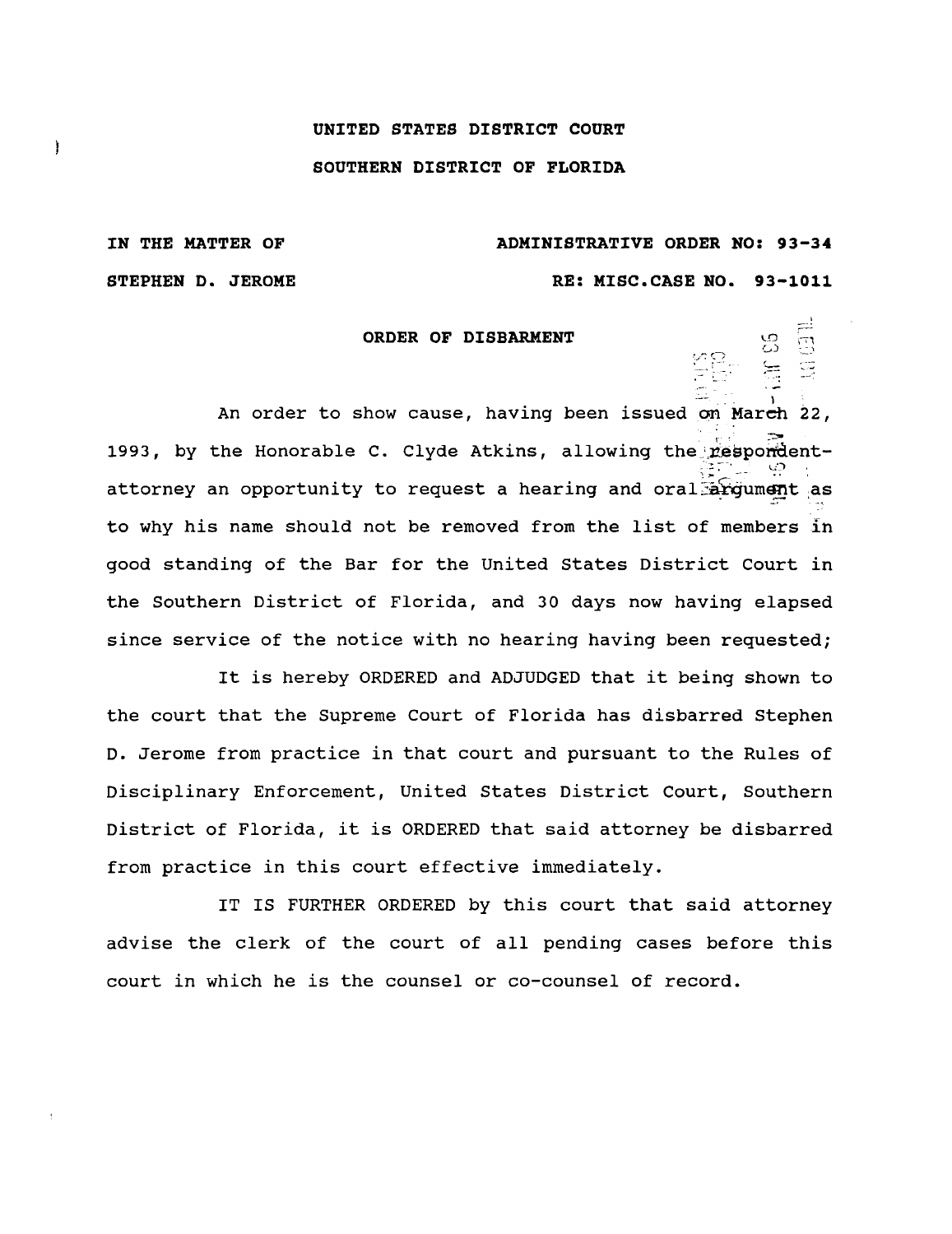## **UNITED STATES DISTRICT COURT**

## **SOUTHERN DISTRICT OF FLORIDA**

IN THE MATTER OF ADMINISTRATIVE **ORDER NO : 93-3 <sup>4</sup> STEPHEN D. JEROME RE: MISC.CASE NO. 93-1011** 

1169<br>1991<br>1991

Ì

## **ORDER OF DISBARMENT**

An order to show cause, having been issued on March 22, 1993, by the Honorable C. Clyde Atkins, allowing the respondentattorney an opportunity to request a hearing and  $oral$  argument as to why his name should not be removed from the list of members in good standing of the Bar for the United States District Court in the Southern District of Florida, and 30 days now having elapsed since service of the notice with no hearing having been requested;

It is hereby ORDERED and ADJUDGED that it being shown to the court that the Supreme Court of Florida has disbarred Stephen D. Jerome from practice in that court and pursuant to the Rules of Disciplinary Enforcement, United States District Court, Southern District of Florida, it is ORDERED that said attorney be disbarred from practice in this court effective immediately.

IT IS FURTHER ORDERED by this court that said attorney advise the clerk of the court of all pending cases before this court in which he is the counsel or co-counsel of record .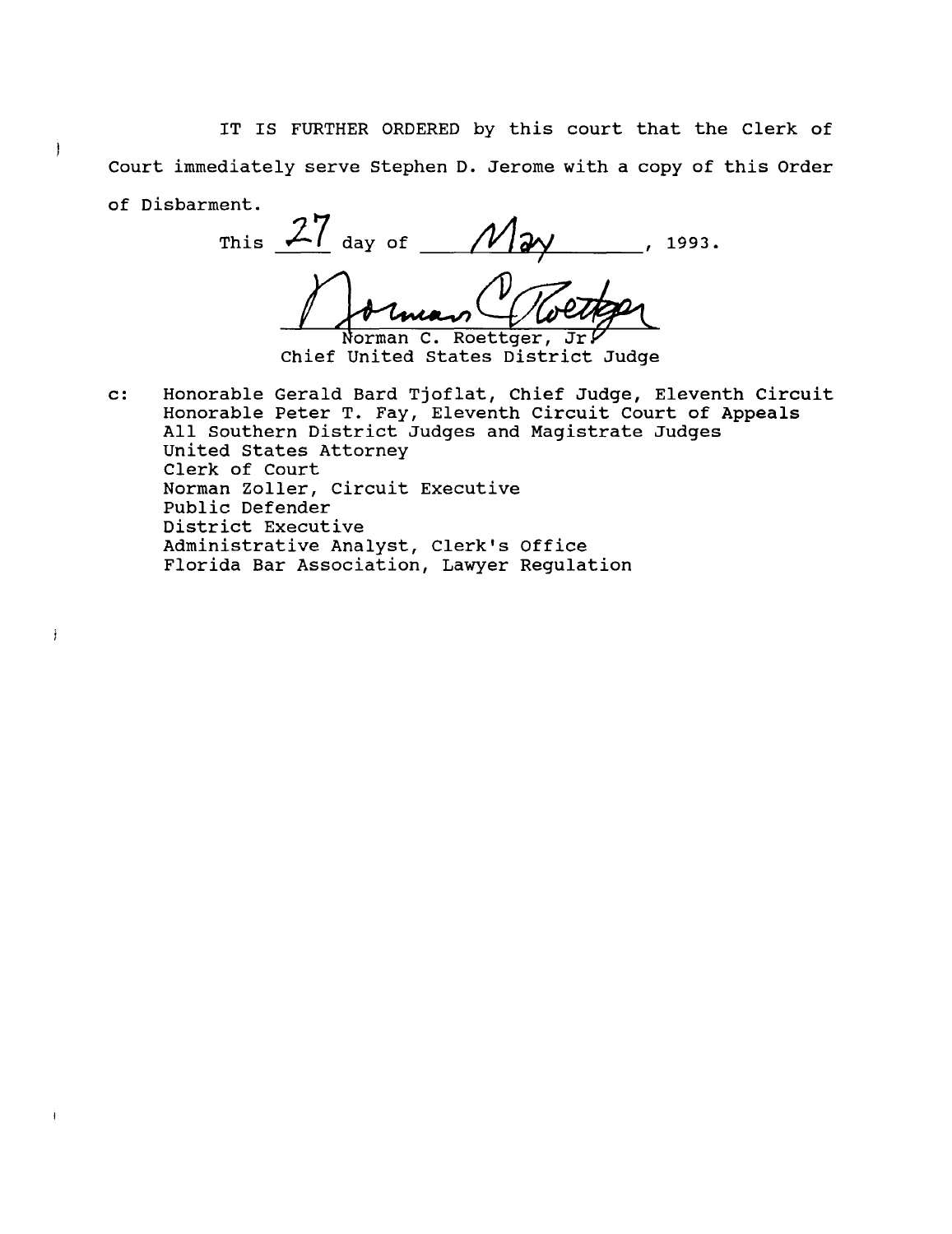**IT IS FURTHER ORDERED by this court that the Clerk of** Court immediately serve Stephen D. Jerome with a copy of this Order **of Disbarment.**

 $\mathbf{I}$ 

÷

This  $\frac{27}{4}$  day of  $\frac{1}{4}$   $\frac{27}{4}$   $\frac{1993}{4}$ Norman C. Roettger, Jr.

Chief United States District Judge

**c : Honorable** Gerald Bard Tjoflat, Chief Judge, Eleventh Circuit Honorable Peter T. Fay, Eleventh Circuit Court of Appeals All Southern District Judges and Magistrate Judges United States Attorney Clerk of Court **Norman** Zoller, Circuit Executive Public Defender District Executive Administrative Analyst, Clerk's Office Florida Bar Association, Lawyer Regulation